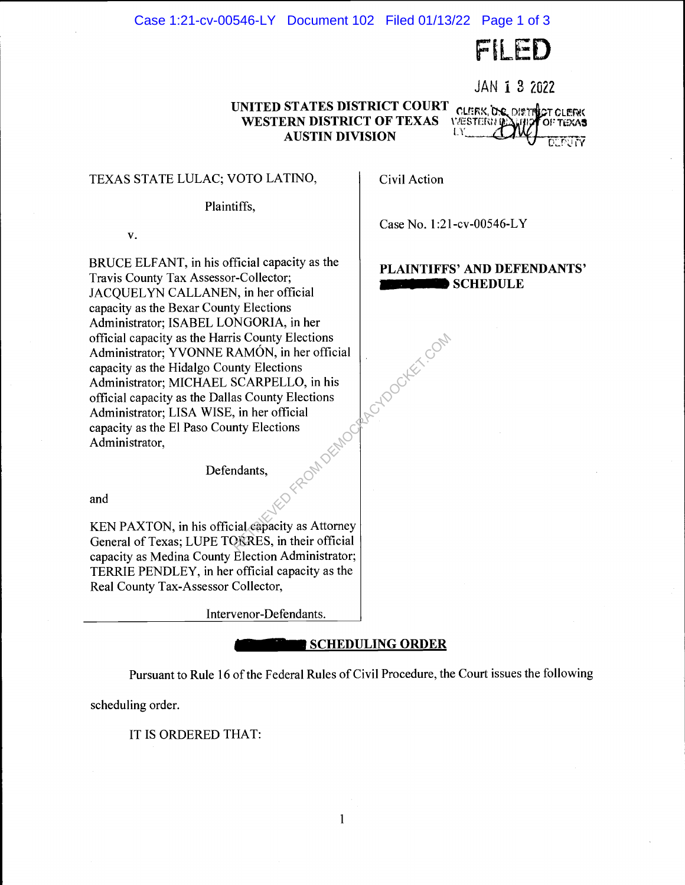### Case 1:21-cv-00546-LY Document 102 Filed 01/13/22 Page 1 of 3

FILED

JAN i 3 2022

#### **UNITED STATES DISTRICT COURT**  CLERK, O.C. DISTRICT CLERK **WESTERN DISTRICT OF TEXAS**  *VÆSTERUM* **AUSTIN DIVISION**

TEXAS STATE LULAC; VOTO LATINO,

Plaintiffs,

V.

BRUCE ELFANT, in his official capacity as the Travis County Tax Assessor-Collector; JACQUELYN CALLANEN, in her official capacity as the Bexar County Elections Administrator; ISABEL LONGORIA, in her official capacity as the Harris County Elections Administrator; YVONNE RAMON, in her official capacity as the Hidalgo County Elections Administrator; MICHAEL SCARPELLO, in his official capacity as the Dallas County Elections Administrator; LISA WISE, in her official<br>capacity as the El Paso County Elections<br>Administrator,<br>Defender capacity as the El Paso County Elections Administrator,

Defendants,

and

KEN PAXTON, in his official capacity as Attorney General of Texas; LUPE TORRES, in their official capacity as Medina County Election Administrator; TERRIE PENDLEY, in her official capacity as the Real County Tax-Assessor Collector,

Intervenor-Defendants.

-

# **SCHEDULING ORDER**

Pursuant to Rule 16 of the Federal Rules of Civil Procedure, the Court issues the following

1

scheduling order.

IT IS ORDERED THAT:

Civil Action

Rectoocker.com

Case No. 1 :21-cv-00546-L Y

# **PLAINTIFFS' AND DEFENDANTS' SCHEDULE**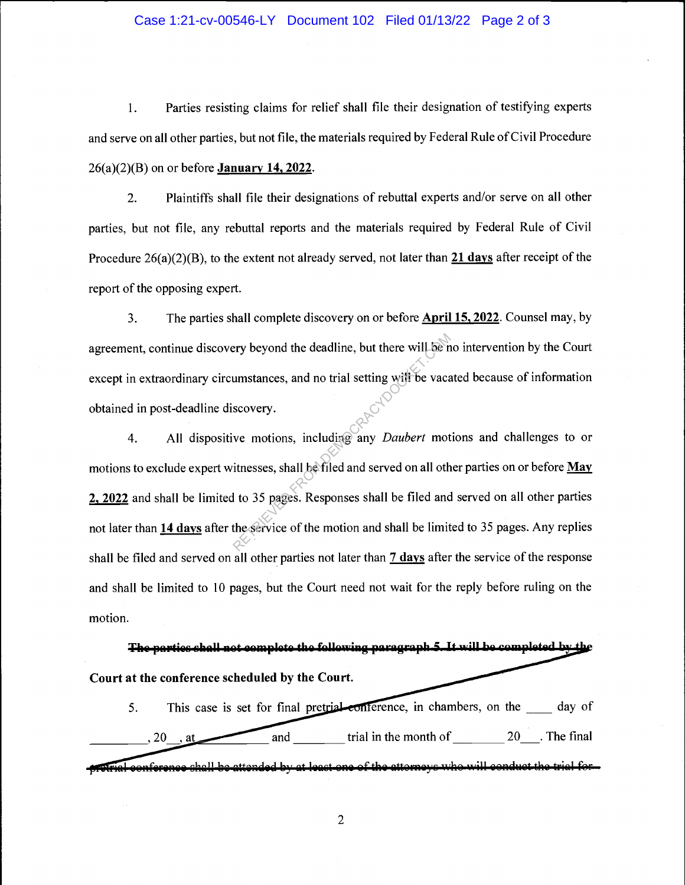#### Case 1:21-cv-00546-LY Document 102 Filed 01/13/22 Page 2 of 3

1. Parties resisting claims for relief shall file their designation of testifying experts and serve on all other parties, but not file, the materials required by Federal Rule of Civil Procedure 26(a)(2)(B) on or before **January 14, 2022.** 

2. Plaintiffs shall file their designations of rebuttal experts and/or serve on all other parties, but not file, any rebuttal reports and the materials required by Federal Rule of Civil Procedure 26(a)(2)(B), to the extent not already served, not later than **21 days** after receipt of the report of the opposing expert.

3. The parties shall complete discovery on or before **April 15, 2022.** Counsel may, by agreement, continue discovery beyond the deadline, but there will be no intervention by the Court except in extraordinary circumstances, and no trial setting will be vacated because of information obtained in post-deadline discovery.

4. All dispositive motions, including any *Daubert* motions and challenges to or motions to exclude expert witnesses, shall be filed and served on all other parties on or before **May 2, 2022** and shall be limited to 35 pages. Responses shall be filed and served on all other parties not later than **14 days** after the service of the motion and shall be limited to 35 pages. Any replies shall be filed and served on all other parties not later than 7 **days** after the service of the response and shall be limited to 10 pages, but the Court need not wait for the reply before ruling on the motion. Figure 1.1 and the deadline, but there will be in<br>umstances, and no trial setting will be vaca-<br>scovery.<br>we motions, including any *Daubert* mot<br>itnesses, shall be filed and served on all oth<br>l to 35 pages. Responses shall

The parties shall not complete the following paragraph 5. It will be completed by the Court at the conference scheduled by the Court.

5. This case is set for final pretrial conference, in chambers, on the \_\_\_\_\_ day of and  $\frac{1}{20}$  trial in the month of  $\frac{20}{100}$ . The final  $, 20$ , at

ial conference shall be attended by at least one of the attorneys who will conduct the trial for